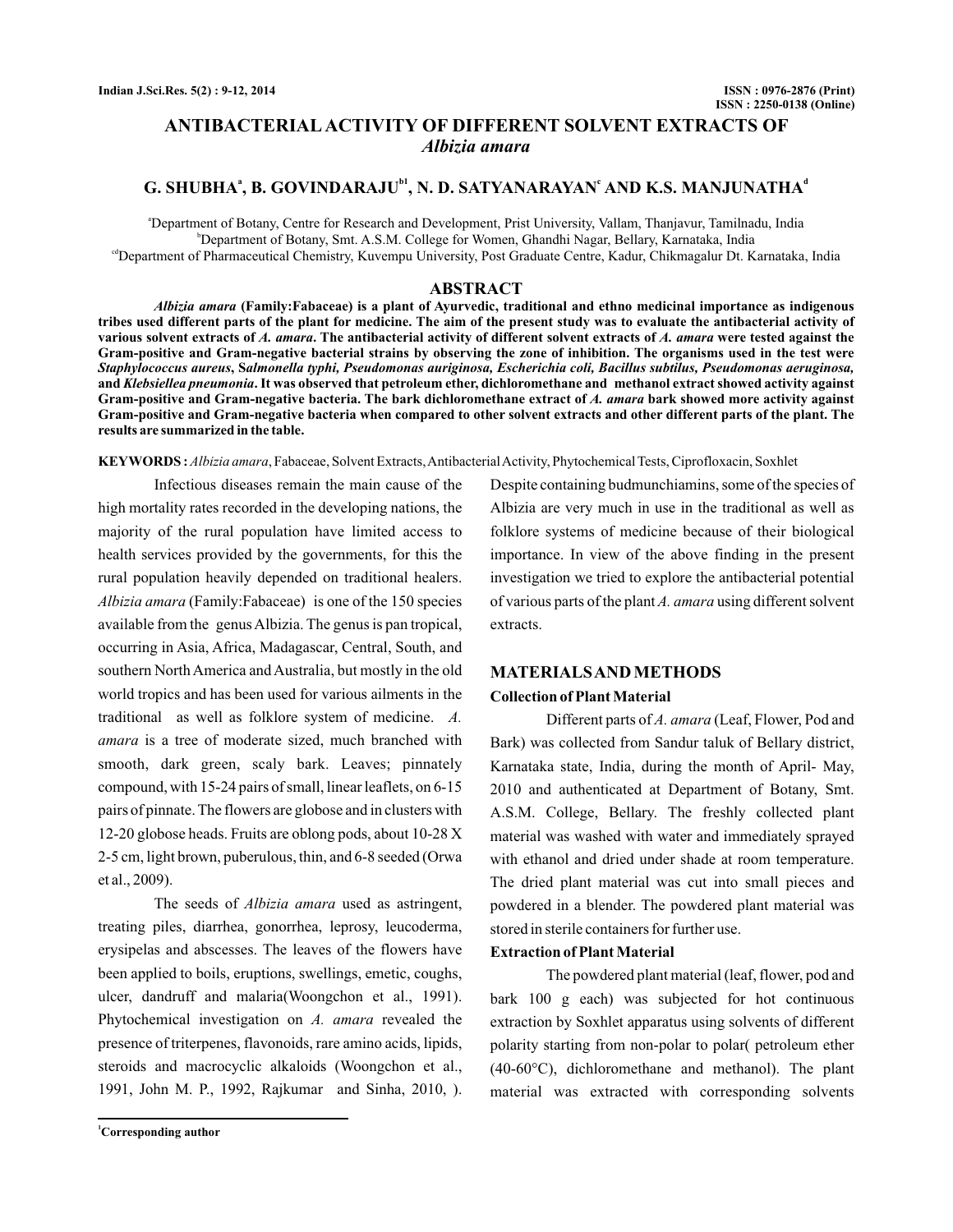# **ANTIBACTERIAL ACTIVITY OF DIFFERENT SOLVENT EXTRACTS OF** *Albizia amara*

# G. SHUBHA<sup>a</sup>, B. GOVINDARAJU<sup>b1</sup>, N. D. SATYANARAYAN<sup>e</sup> AND K.S. MANJUNATHA<sup>d</sup>

a Department of Botany, Centre for Research and Development, Prist University, Vallam, Thanjavur, Tamilnadu, India b Department of Botany, Smt. A.S.M. College for Women, Ghandhi Nagar, Bellary, Karnataka, India <sup>cd</sup>Department of Pharmaceutical Chemistry, Kuvempu University, Post Graduate Centre, Kadur, Chikmagalur Dt. Karnataka, India

# **ABSTRACT**

**(Family:Fabaceae) is a plant of Ayurvedic, traditional and ethno medicinal importance as indigenous** *Albizia amara* **tribes used different parts of the plant for medicine. The aim of the present study was to evaluate the antibacterial activity of** various solvent extracts of *A. amara.* The antibacterial activity of different solvent extracts of *A. amara* were tested against the **Gram-positive and Gram-negative bacterial strains by observing the zone of inhibition. The organisms used in the test were** Staphylococcus aureus, Salmonella typhi, Pseudomonas auriginosa, Escherichia coli, Bacillus subtilus, Pseudomonas aeruginosa, and *Klebsiellea pneumonia*. It was observed that petroleum ether, dichloromethane and methanol extract showed activity against Gram-positive and Gram-negative bacteria. The bark dichloromethane extract of *A. amara* bark showed more activity against **Gram-positive and Gram-negative bacteria when compared to other solvent extracts and other different parts of the plant. The results are summarized in the table.**

**KEYWORDS :** *Albizia amara*, Fabaceae, Solvent Extracts,AntibacterialActivity, Phytochemical Tests, Ciprofloxacin, Soxhlet

Infectious diseases remain the main cause of the high mortality rates recorded in the developing nations, the majority of the rural population have limited access to health services provided by the governments, for this the rural population heavily depended on traditional healers. Albizia amara (Family:Fabaceae) is one of the 150 species available from the genus Albizia. The genus is pan tropical, occurring in Asia, Africa, Madagascar, Central, South, and southern North America and Australia, but mostly in the old world tropics and has been used for various ailments in the traditional as well as folklore system of medicine. *A.* amara is a tree of moderate sized, much branched with smooth, dark green, scaly bark. Leaves; pinnately compound, with 15-24 pairs of small, linear leaflets, on 6-15 pairs of pinnate. The flowers are globose and in clusters with 12-20 globose heads. Fruits are oblong pods, about 10-28 X 2-5 cm, light brown, puberulous, thin, and 6-8 seeded (Orwa et al., 2009).

The seeds of *Albizia amara* used as astringent, treating piles, diarrhea, gonorrhea, leprosy, leucoderma, erysipelas and abscesses. The leaves of the flowers have been applied to boils, eruptions, swellings, emetic, coughs, ulcer, dandruff and malaria(Woongchon et al., 1991). Phytochemical investigation on A. amara revealed the presence of triterpenes, flavonoids, rare amino acids, lipids, steroids and macrocyclic alkaloids (Woongchon et al., 1991, John M. P., 1992, Rajkumar and Sinha, 2010, ).

Despite containing budmunchiamins, some of the species of Albizia are very much in use in the traditional as well as folklore systems of medicine because of their biological importance. In view of the above finding in the present investigation we tried to explore the antibacterial potential of various parts of the plant A. amara using different solvent extracts.

# **MATERIALSAND METHODS Collection of Plant Material**

Different parts of A. amara (Leaf, Flower, Pod and Bark) was collected from Sandur taluk of Bellary district, Karnataka state, India, during the month of April- May, 2010 and authenticated at Department of Botany, Smt. A.S.M. College, Bellary. The freshly collected plant material was washed with water and immediately sprayed with ethanol and dried under shade at room temperature. The dried plant material was cut into small pieces and powdered in a blender. The powdered plant material was stored in sterile containers for further use.

#### **Extraction of Plant Material**

The powdered plant material (leaf, flower, pod and bark 100 g each) was subjected for hot continuous extraction by Soxhlet apparatus using solvents of different polarity starting from non-polar to polar( petroleum ether (40-60°C), dichloromethane and methanol). The plant material was extracted with corresponding solvents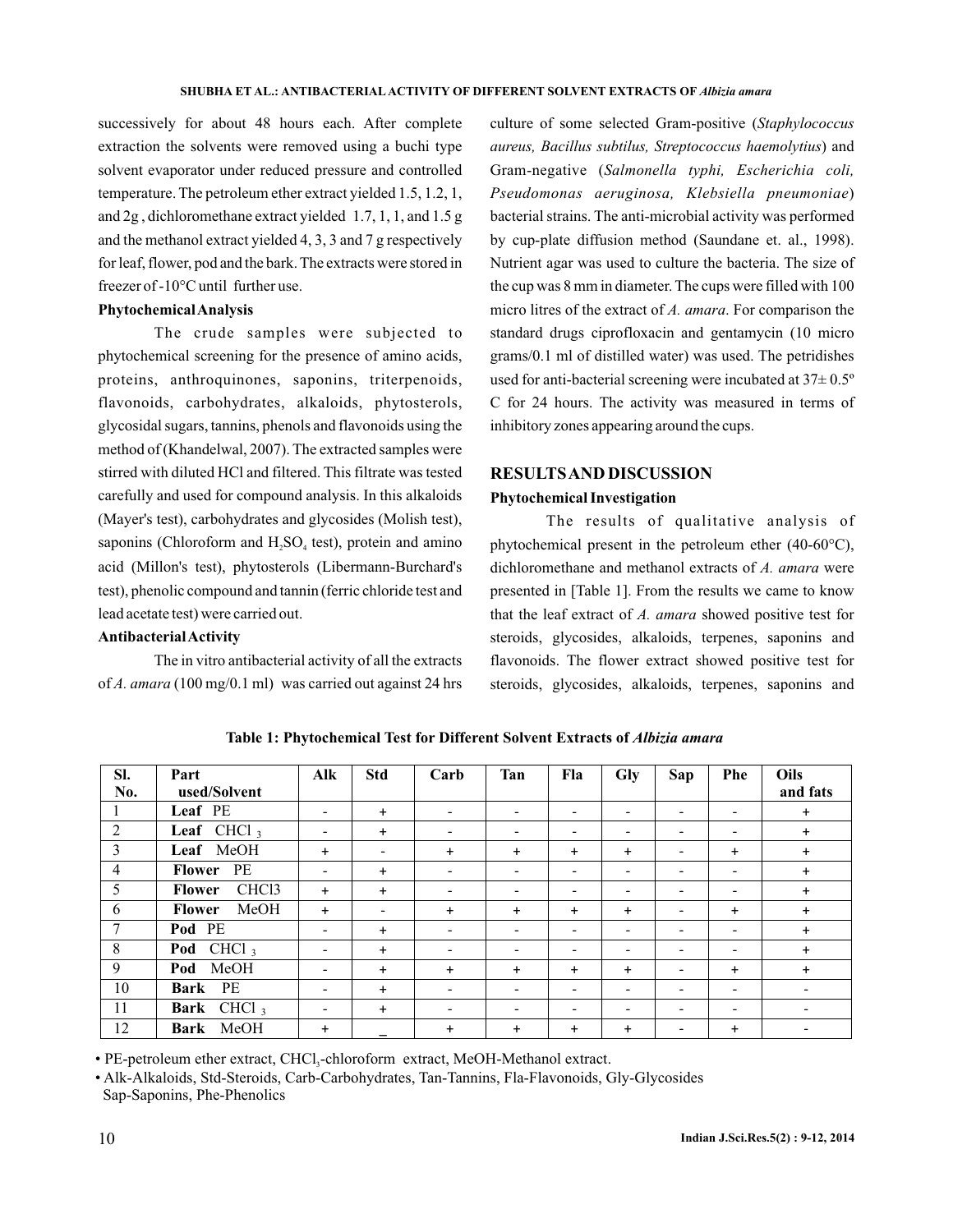successively for about 48 hours each. After complete extraction the solvents were removed using a buchi type solvent evaporator under reduced pressure and controlled temperature. The petroleum ether extract yielded 1.5, 1.2, 1, and 2g , dichloromethane extract yielded 1.7, 1, 1, and 1.5 g and the methanol extract yielded 4, 3, 3 and 7 g respectively for leaf, flower, pod and the bark. The extracts were stored in freezer of -10°C until further use.

# **PhytochemicalAnalysis**

The crude samples were subjected to phytochemical screening for the presence of amino acids, proteins, anthroquinones, saponins, triterpenoids, flavonoids, carbohydrates, alkaloids, phytosterols, glycosidal sugars, tannins, phenols and flavonoids using the method of (Khandelwal, 2007). The extracted samples were stirred with diluted HCl and filtered. This filtrate was tested carefully and used for compound analysis. In this alkaloids (Mayer's test), carbohydrates and glycosides (Molish test), saponins (Chloroform and  $H_2SO_4$  test), protein and amino acid (Millon's test), phytosterols (Libermann-Burchard's test), phenolic compound and tannin (ferric chloride test and lead acetate test) were carried out.

# **AntibacterialActivity**

The in vitro antibacterial activity of all the extracts of A. amara (100 mg/0.1 ml) was carried out against 24 hrs

culture of some selected Gram-positive ( *Staphylococcus* aureus, Bacillus subtilus, Streptococcus haemolytius) and Gram-negative ( *Salmonella typhi, Escherichia coli,* ) *Pseudomonas aeruginosa, Klebsiella pneumoniae* bacterial strains. The anti-microbial activity was performed by cup-plate diffusion method (Saundane et. al., 1998). Nutrient agar was used to culture the bacteria. The size of the cup was 8 mm in diameter. The cups were filled with 100 micro litres of the extract of A. amara. For comparison the standard drugs ciprofloxacin and gentamycin (10 micro grams/0.1 ml of distilled water) was used. The petridishes used for anti-bacterial screening were incubated at 37± 0.5º C for 24 hours. The activity was measured in terms of inhibitory zones appearing around the cups.

# **RESULTSAND DISCUSSION**

# **Phytochemical Investigation**

The results of qualitative analysis of phytochemical present in the petroleum ether (40-60°C), dichloromethane and methanol extracts of A. amara were presented in [Table 1]. From the results we came to know that the leaf extract of A. amara showed positive test for steroids, glycosides, alkaloids, terpenes, saponins and flavonoids. The flower extract showed positive test for steroids, glycosides, alkaloids, terpenes, saponins and

| SI.<br>No.      | Part<br>used/Solvent               | Alk                      | <b>Std</b>               | Carb                     | Tan                      | Fla                      | Gly                      | Sap            | Phe                      | Oils<br>and fats |
|-----------------|------------------------------------|--------------------------|--------------------------|--------------------------|--------------------------|--------------------------|--------------------------|----------------|--------------------------|------------------|
|                 | Leaf PE                            |                          |                          |                          |                          |                          |                          |                |                          |                  |
|                 |                                    | $\overline{\phantom{a}}$ | $\ddot{}$                |                          | $\overline{\phantom{0}}$ | $\overline{\phantom{0}}$ | $\overline{\phantom{a}}$ |                | $\overline{\phantom{0}}$ | $\ddot{}$        |
| 2               | <b>Leaf</b> CHCl <sub>3</sub>      | $\overline{\phantom{a}}$ | $\ddot{}$                | $\overline{\phantom{0}}$ | $\overline{\phantom{a}}$ | $\overline{\phantom{0}}$ | $\overline{\phantom{a}}$ |                | $\overline{\phantom{a}}$ | $\ddot{}$        |
| 3               | Leaf MeOH                          | $\ddot{}$                | $\overline{\phantom{0}}$ | $+$                      | $\ddot{}$                | $+$                      | $\ddot{}$                | -              | $+$                      | $\ddot{}$        |
| $\overline{4}$  | Flower PE                          | $\overline{\phantom{a}}$ | $+$                      | $\overline{\phantom{0}}$ | $\overline{\phantom{0}}$ | $\overline{\phantom{0}}$ | $\overline{\phantom{a}}$ |                | $\overline{\phantom{0}}$ | $\ddot{}$        |
| 5               | CHC <sub>13</sub><br><b>Flower</b> | $\ddot{}$                | $\ddot{}$                | $\overline{\phantom{0}}$ | $\overline{\phantom{0}}$ | $\overline{\phantom{0}}$ | $\overline{\phantom{0}}$ |                | $\overline{\phantom{0}}$ | $+$              |
| 6               | MeOH<br><b>Flower</b>              | $\ddot{}$                | $\overline{\phantom{0}}$ | $+$                      | $\ddot{}$                | $\ddot{}$                | $+$                      |                | $\ddot{}$                | $\ddot{}$        |
| $7\phantom{.0}$ | Pod PE                             | $\overline{\phantom{a}}$ | $\ddot{}$                | $\overline{\phantom{a}}$ | $\overline{\phantom{0}}$ | $\overline{\phantom{0}}$ | $\overline{\phantom{a}}$ |                | $\overline{\phantom{0}}$ | $\ddot{}$        |
| 8               | Pod CHCl <sub>3</sub>              | $\overline{\phantom{a}}$ | $\ddot{}$                | -                        | $\overline{\phantom{0}}$ | $\overline{\phantom{0}}$ | $\overline{\phantom{a}}$ | -              | $\overline{\phantom{a}}$ | $+$              |
| 9               | Pod MeOH                           | $\overline{\phantom{a}}$ | $\ddot{}$                | $+$                      | $\ddot{}$                | $+$                      | $+$                      | -              | $\ddot{}$                | $\ddot{}$        |
| 10              | Bark PE                            | $\overline{\phantom{0}}$ | $\ddot{}$                | $\overline{\phantom{0}}$ | $\overline{\phantom{0}}$ | $\overline{a}$           | $\overline{\phantom{0}}$ |                | $\overline{\phantom{0}}$ |                  |
| 11              | Bark CHCl <sub>3</sub>             | $\overline{\phantom{a}}$ | $\ddot{}$                | $\overline{\phantom{0}}$ | $\overline{\phantom{0}}$ | $\overline{\phantom{0}}$ | $\overline{\phantom{a}}$ |                | $\overline{\phantom{a}}$ | -                |
| 12              | Bark MeOH                          | $\ddot{}$                |                          | $+$                      | $\ddot{}$                | $\ddot{}$                | $+$                      | $\overline{a}$ | $\ddot{}$                |                  |

**Table 1: Phytochemical Test for Different Solvent Extracts of** *Albizia amara*

• PE-petroleum ether extract, CHCl<sub>3</sub>-chloroform extract, MeOH-Methanol extract.

• Alk-Alkaloids, Std-Steroids, Carb-Carbohydrates, Tan-Tannins, Fla-Flavonoids, Gly-Glycosides Sap-Saponins, Phe-Phenolics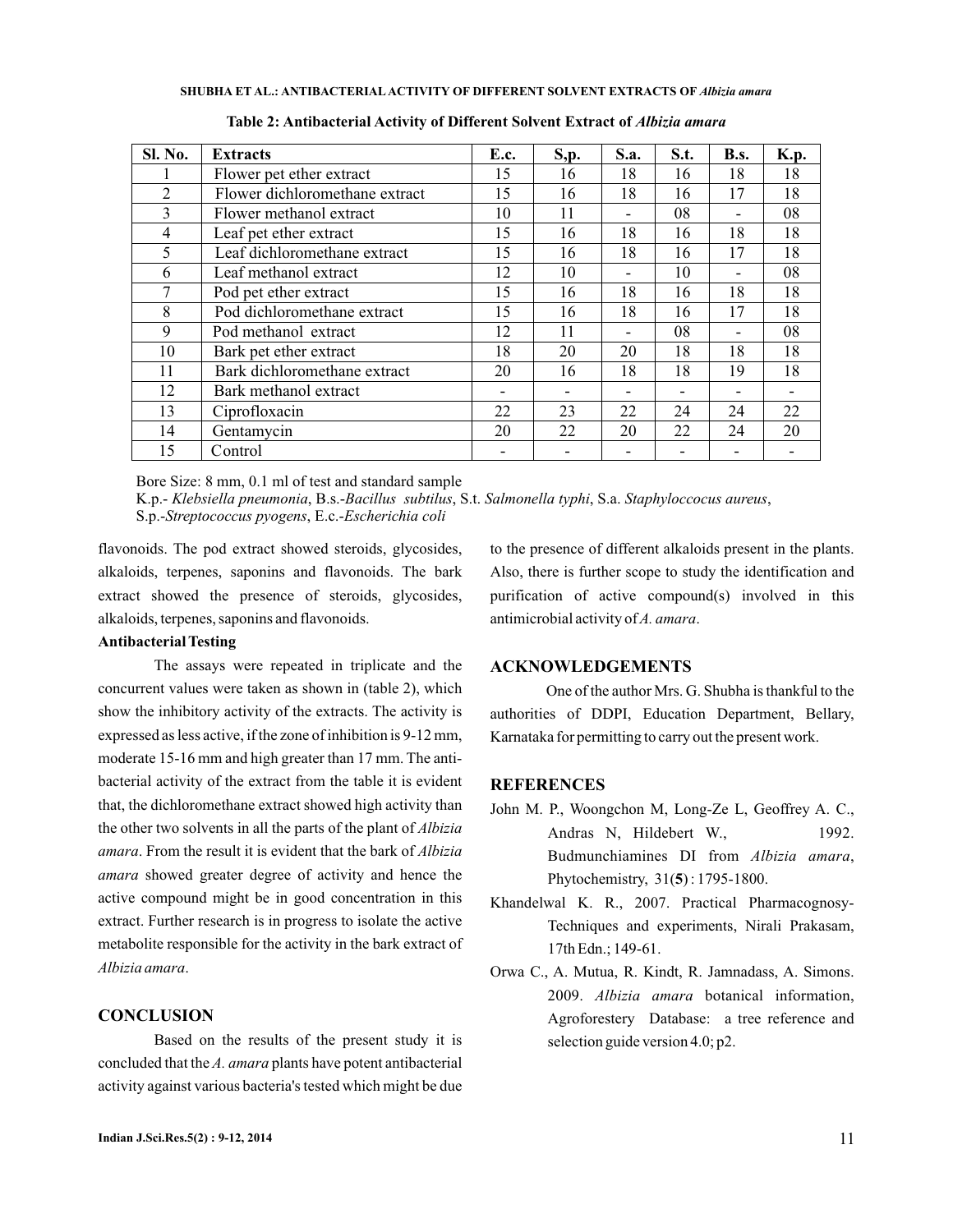| <b>Sl. No.</b> | <b>Extracts</b>                | <b>E.c.</b> | S, p. | S.a. | S.t. | <b>B.s.</b> | <b>K.p.</b> |
|----------------|--------------------------------|-------------|-------|------|------|-------------|-------------|
|                | Flower pet ether extract       | 15          | 16    | 18   | 16   | 18          | 18          |
| $\mathfrak{D}$ | Flower dichloromethane extract | 15          | 16    | 18   | 16   | 17          | 18          |
| 3              | Flower methanol extract        | 10          | 11    |      | 08   |             | 08          |
| $\overline{4}$ | Leaf pet ether extract         | 15          | 16    | 18   | 16   | 18          | 18          |
| 5              | Leaf dichloromethane extract   | 15          | 16    | 18   | 16   | 17          | 18          |
| 6              | Leaf methanol extract          | 12          | 10    |      | 10   |             | 08          |
|                | Pod pet ether extract          | 15          | 16    | 18   | 16   | 18          | 18          |
| 8              | Pod dichloromethane extract    | 15          | 16    | 18   | 16   | 17          | 18          |
| 9              | Pod methanol extract           | 12          | 11    |      | 08   |             | 08          |
| 10             | Bark pet ether extract         | 18          | 20    | 20   | 18   | 18          | 18          |
| 11             | Bark dichloromethane extract   | 20          | 16    | 18   | 18   | 19          | 18          |
| 12             | Bark methanol extract          |             |       |      |      |             |             |
| 13             | Ciprofloxacin                  | 22          | 23    | 22   | 24   | 24          | 22          |
| 14             | Gentamycin                     | 20          | 22    | 20   | 22   | 24          | 20          |
| 15             | Control                        |             |       |      |      |             |             |

**Table 2: Antibacterial Activity of Different Solvent Extract of** *Albizia amara*

Bore Size: 8 mm, 0.1 ml of test and standard sample

K.p.- *Klebsiella pneumonia, B.s.-Bacillus subtilus, S.t. Salmonella typhi, S.a. Staphyloccocus aureus,* S.p.-Streptococcus pyogens, E.c.-*Escherichia coli* 

flavonoids. The pod extract showed steroids, glycosides, alkaloids, terpenes, saponins and flavonoids. The bark extract showed the presence of steroids, glycosides, alkaloids, terpenes, saponins and flavonoids.

# **Antibacterial Testing**

The assays were repeated in triplicate and the concurrent values were taken as shown in (table 2), which show the inhibitory activity of the extracts. The activity is expressed as less active, if the zone of inhibition is 9-12 mm, moderate 15-16 mm and high greater than 17 mm. The antibacterial activity of the extract from the table it is evident that, the dichloromethane extract showed high activity than the other two solvents in all the parts of the plant of *Albizia* . From the result it is evident that the bark of *amara Albizia* amara showed greater degree of activity and hence the active compound might be in good concentration in this extract. Further research is in progress to isolate the active metabolite responsible for the activity in the bark extract of . *Albizia amara*

# **CONCLUSION**

Based on the results of the present study it is concluded that the A. amara plants have potent antibacterial activity against various bacteria's tested which might be due to the presence of different alkaloids present in the plants. Also, there is further scope to study the identification and purification of active compound(s) involved in this antimicrobial activity of A. amara.

# **ACKNOWLEDGEMENTS**

One of the author Mrs. G. Shubha is thankful to the authorities of DDPI, Education Department, Bellary, Karnataka for permitting to carry out the present work.

#### **REFERENCES**

- John M. P., Woongchon M, Long-Ze L, Geoffrey A. C., Andras N, Hildebert W., 1992. Budmunchiamines DI from Albizia amara, Phytochemistry,  $31(5)$ : 1795-1800.
- Khandelwal K. R., 2007. Practical Pharmacognosy-Techniques and experiments, Nirali Prakasam, 17th Edn.; 149-61.
- Orwa C., A. Mutua, R. Kindt, R. Jamnadass, A. Simons. 2009. Albizia amara botanical information, Agroforestery Database: a tree reference and selection guide version 4.0; p2.